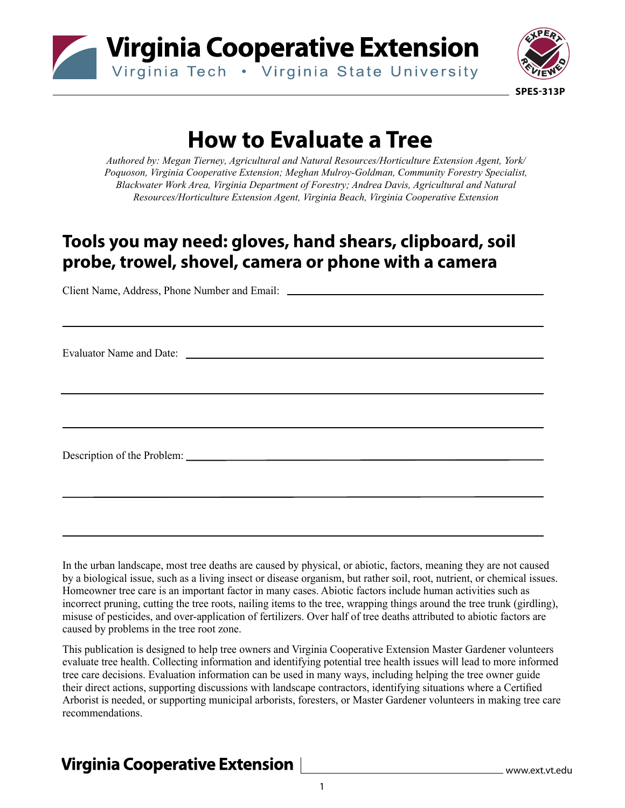



# **How to Evaluate a Tree**

*Authored by: Megan Tierney, Agricultural and Natural Resources/Horticulture Extension Agent, York/ Poquoson, Virginia Cooperative Extension; Meghan Mulroy-Goldman, Community Forestry Specialist, Blackwater Work Area, Virginia Department of Forestry; Andrea Davis, Agricultural and Natural Resources/Horticulture Extension Agent, Virginia Beach, Virginia Cooperative Extension* 

### **Tools you may need: gloves, hand shears, clipboard, soil probe, trowel, shovel, camera or phone with a camera**

Client Name, Address, Phone Number and Email:

Evaluator Name and Date:

Description of the Problem:

In the urban landscape, most tree deaths are caused by physical, or abiotic, factors, meaning they are not caused by a biological issue, such as a living insect or disease organism, but rather soil, root, nutrient, or chemical issues. Homeowner tree care is an important factor in many cases. Abiotic factors include human activities such as incorrect pruning, cutting the tree roots, nailing items to the tree, wrapping things around the tree trunk (girdling), misuse of pesticides, and over-application of fertilizers. Over half of tree deaths attributed to abiotic factors are caused by problems in the tree root zone.

This publication is designed to help tree owners and Virginia Cooperative Extension Master Gardener volunteers evaluate tree health. Collecting information and identifying potential tree health issues will lead to more informed tree care decisions. Evaluation information can be used in many ways, including helping the tree owner guide their direct actions, supporting discussions with landscape contractors, identifying situations where a Certified Arborist is needed, or supporting municipal arborists, foresters, or Master Gardener volunteers in making tree care recommendations.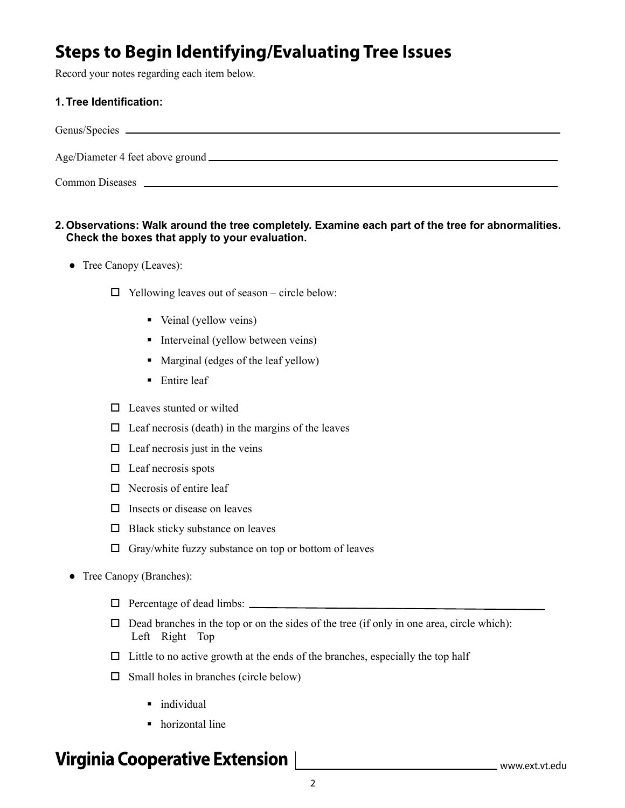## **Steps to Begin Identifying/Evaluating Tree Issues**

Record your notes regarding each item below.

#### **1. Tree Identification:**

| <b>Common Diseases</b> |
|------------------------|

#### **2. Observations: Walk around the tree completely. Examine each part of the tree for abnormalities. Check the boxes that apply to your evaluation.**

- Tree Canopy (Leaves):
	- $\Box$  Yellowing leaves out of season circle below:
		- Veinal (yellow veins)
		- Interveinal (yellow between veins)
		- Marginal (edges of the leaf yellow)
		- $\blacksquare$  Entire leaf
	- $\Box$  Leaves stunted or wilted
	- $\Box$  Leaf necrosis (death) in the margins of the leaves
	- $\Box$  Leaf necrosis just in the veins
	- $\Box$  Leaf necrosis spots
	- $\Box$  Necrosis of entire leaf
	- $\Box$  Insects or disease on leaves
	- $\Box$  Black sticky substance on leaves
	- $\Box$  Gray/white fuzzy substance on top or bottom of leaves
- Tree Canopy (Branches):
	- Percentage of dead limbs:
	- $\Box$  Dead branches in the top or on the sides of the tree (if only in one area, circle which): Left Right Top
	- $\Box$  Little to no active growth at the ends of the branches, especially the top half
	- $\Box$  Small holes in branches (circle below)
		- individual
		- horizontal line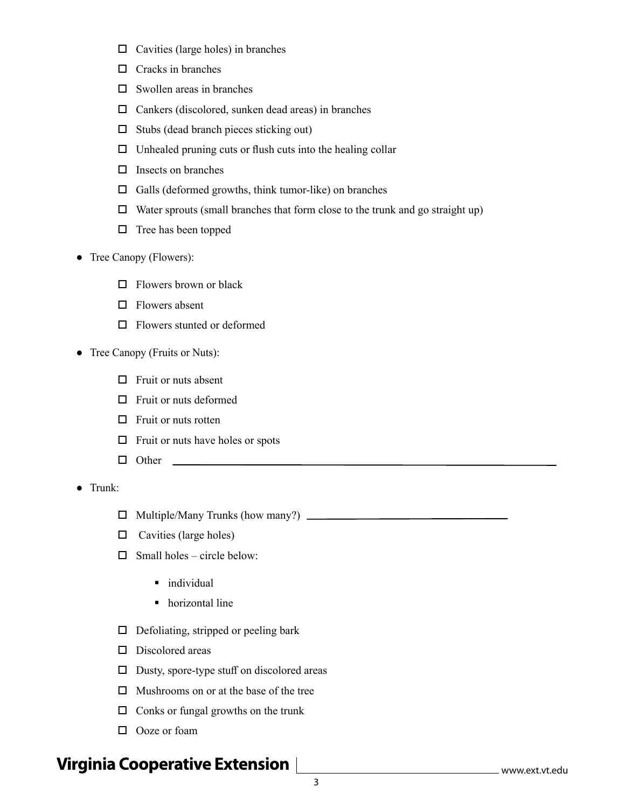- $\Box$  Cavities (large holes) in branches
- $\Box$  Cracks in branches
- $\square$  Swollen areas in branches
- $\Box$  Cankers (discolored, sunken dead areas) in branches
- $\square$  Stubs (dead branch pieces sticking out)
- $\Box$  Unhealed pruning cuts or flush cuts into the healing collar
- $\Box$  Insects on branches
- $\Box$  Galls (deformed growths, think tumor-like) on branches
- $\Box$  Water sprouts (small branches that form close to the trunk and go straight up)
- $\Box$  Tree has been topped
- Tree Canopy (Flowers):
	- $\Box$  Flowers brown or black
	- □ Flowers absent
	- □ Flowers stunted or deformed
- Tree Canopy (Fruits or Nuts):
	- $\Box$  Fruit or nuts absent
	- $\Box$  Fruit or nuts deformed
	- $\Box$  Fruit or nuts rotten
	- $\Box$  Fruit or nuts have holes or spots
	- Other

● Trunk:

- Multiple/Many Trunks (how many?)
- $\Box$  Cavities (large holes)
- $\Box$  Small holes circle below:
	- $\blacksquare$  individual
	- horizontal line
- $\Box$  Defoliating, stripped or peeling bark
- D Discolored areas
- $\square$  Dusty, spore-type stuff on discolored areas
- $\Box$  Mushrooms on or at the base of the tree
- $\Box$  Conks or fungal growths on the trunk
- D Ooze or foam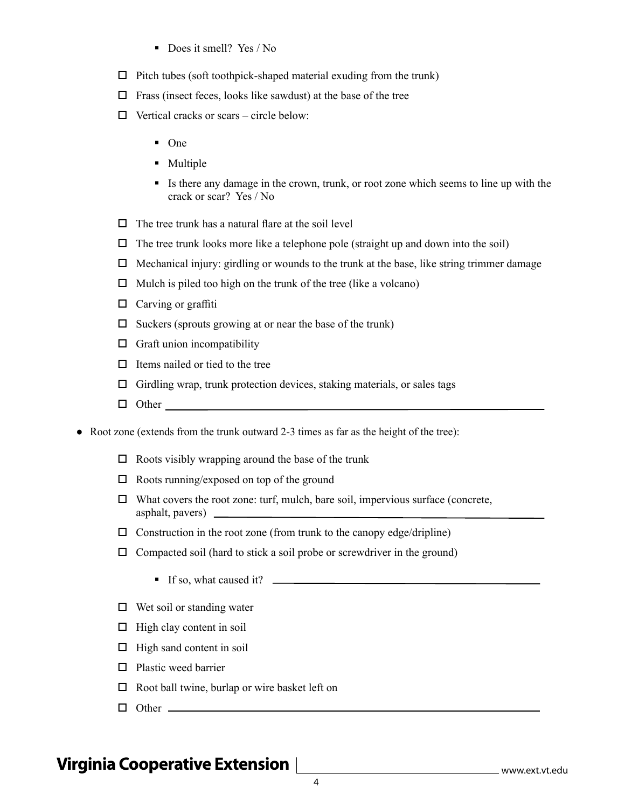- Does it smell? Yes / No
- $\Box$  Pitch tubes (soft toothpick-shaped material exuding from the trunk)
- $\Box$  Frass (insect feces, looks like sawdust) at the base of the tree
- $\Box$  Vertical cracks or scars circle below:
	- $\blacksquare$  One
	- Multiple
	- Is there any damage in the crown, trunk, or root zone which seems to line up with the crack or scar? Yes / No
- $\Box$  The tree trunk has a natural flare at the soil level
- $\Box$  The tree trunk looks more like a telephone pole (straight up and down into the soil)
- $\Box$  Mechanical injury: girdling or wounds to the trunk at the base, like string trimmer damage
- $\Box$  Mulch is piled too high on the trunk of the tree (like a volcano)
- $\Box$  Carving or graffiti
- $\square$  Suckers (sprouts growing at or near the base of the trunk)
- $\Box$  Graft union incompatibility
- $\Box$  Items nailed or tied to the tree
- $\Box$  Girdling wrap, trunk protection devices, staking materials, or sales tags
- D Other and the contract of the contract of the contract of the contract of the contract of the contract of the contract of the contract of the contract of the contract of the contract of the contract of the contract of th
- Root zone (extends from the trunk outward 2-3 times as far as the height of the tree):
	- $\Box$  Roots visibly wrapping around the base of the trunk
	- $\square$  Roots running/exposed on top of the ground
	- $\Box$  What covers the root zone: turf, mulch, bare soil, impervious surface (concrete, asphalt, pavers)
	- $\square$  Construction in the root zone (from trunk to the canopy edge/dripline)
	- $\Box$  Compacted soil (hard to stick a soil probe or screwdriver in the ground)
		- If so, what caused it?
	- $\Box$  Wet soil or standing water
	- $\Box$  High clay content in soil
	- $\Box$  High sand content in soil
	- $\square$  Plastic weed barrier
	- $\Box$  Root ball twine, burlap or wire basket left on
	- Other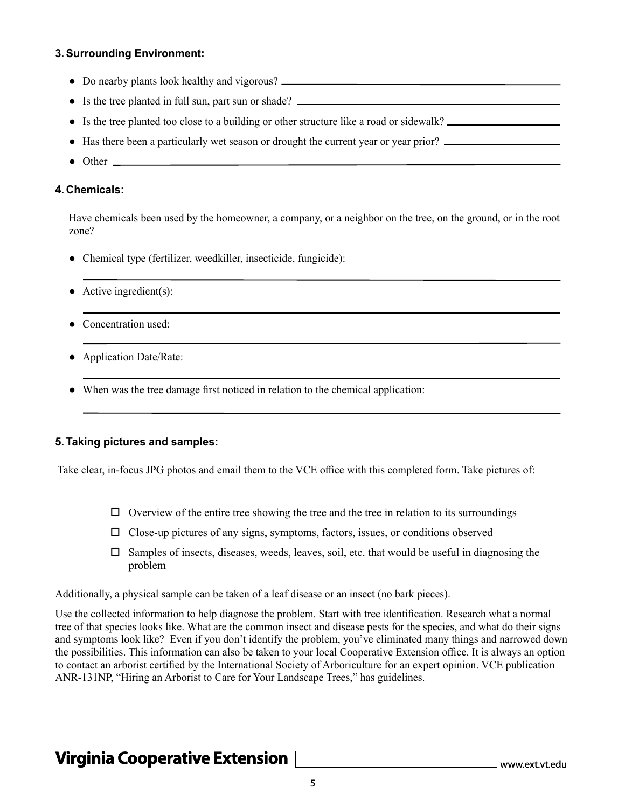#### **3. Surrounding Environment:**

- Do nearby plants look healthy and vigorous?
- Is the tree planted in full sun, part sun or shade?
- Is the tree planted too close to a building or other structure like a road or sidewalk?
- Has there been a particularly wet season or drought the current year or year prior?
- Other <u>\_\_\_\_\_\_\_\_\_\_\_\_\_\_\_\_</u>

#### **4. Chemicals:**

Have chemicals been used by the homeowner, a company, or a neighbor on the tree, on the ground, or in the root zone?

- Chemical type (fertilizer, weedkiller, insecticide, fungicide):
- $\bullet$  Active ingredient(s):
- Concentration used:
- Application Date/Rate:
- When was the tree damage first noticed in relation to the chemical application:

#### **5. Taking pictures and samples:**

Take clear, in-focus JPG photos and email them to the VCE office with this completed form. Take pictures of:

- $\Box$  Overview of the entire tree showing the tree and the tree in relation to its surroundings
- $\Box$  Close-up pictures of any signs, symptoms, factors, issues, or conditions observed
- $\Box$  Samples of insects, diseases, weeds, leaves, soil, etc. that would be useful in diagnosing the problem

Additionally, a physical sample can be taken of a leaf disease or an insect (no bark pieces).

Use the collected information to help diagnose the problem. Start with tree identification. Research what a normal tree of that species looks like. What are the common insect and disease pests for the species, and what do their signs and symptoms look like? Even if you don't identify the problem, you've eliminated many things and narrowed down the possibilities. This information can also be taken to your local Cooperative Extension office. It is always an option to contact an arborist certified by the International Society of Arboriculture for an expert opinion. VCE publication ANR-131NP, "Hiring an Arborist to Care for Your Landscape Trees," has guidelines.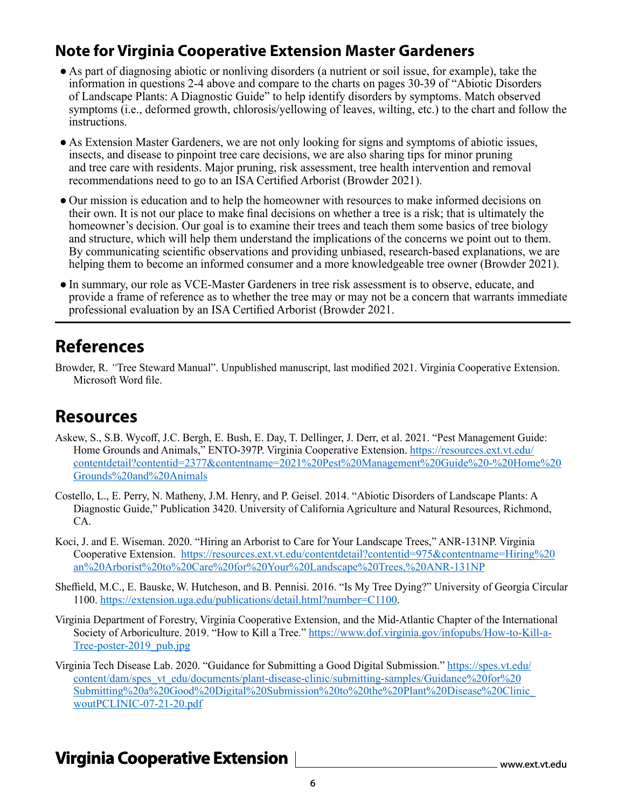### **Note for Virginia Cooperative Extension Master Gardeners**

- As part of diagnosing abiotic or nonliving disorders (a nutrient or soil issue, for example), take the information in questions 2-4 above and compare to the charts on pages 30-39 of "Abiotic Disorders of Landscape Plants: A Diagnostic Guide" to help identify disorders by symptoms. Match observed symptoms (i.e., deformed growth, chlorosis/yellowing of leaves, wilting, etc.) to the chart and follow the instructions.
- As Extension Master Gardeners, we are not only looking for signs and symptoms of abiotic issues, insects, and disease to pinpoint tree care decisions, we are also sharing tips for minor pruning and tree care with residents. Major pruning, risk assessment, tree health intervention and removal recommendations need to go to an ISA Certified Arborist (Browder 2021).
- Our mission is education and to help the homeowner with resources to make informed decisions on their own. It is not our place to make final decisions on whether a tree is a risk; that is ultimately the homeowner's decision. Our goal is to examine their trees and teach them some basics of tree biology and structure, which will help them understand the implications of the concerns we point out to them. By communicating scientific observations and providing unbiased, research-based explanations, we are helping them to become an informed consumer and a more knowledgeable tree owner (Browder 2021).
- In summary, our role as VCE-Master Gardeners in tree risk assessment is to observe, educate, and provide a frame of reference as to whether the tree may or may not be a concern that warrants immediate professional evaluation by an ISA Certified Arborist (Browder 2021.

### **References**

Browder, R. *"*Tree Steward Manual". Unpublished manuscript, last modified 2021. Virginia Cooperative Extension. Microsoft Word file.

### **Resources**

- Askew, S., S.B. Wycoff, J.C. Bergh, E. Bush, E. Day, T. Dellinger, J. Derr, et al. 2021. "Pest Management Guide: Home Grounds and Animals," ENTO-397P. Virginia Cooperative Extension. [https://resources.ext.vt.edu/](https://resources.ext.vt.edu/contentdetail?contentid=2377&contentname=2021%20Pest%20Management%20Guide%20-%20Home%20Grounds%20and%20Animals) [contentdetail?contentid=2377&contentname=2021%20Pest%20Management%20Guide%20-%20Home%20](https://resources.ext.vt.edu/contentdetail?contentid=2377&contentname=2021%20Pest%20Management%20Guide%20-%20Home%20Grounds%20and%20Animals) [Grounds%20and%20Animals](https://resources.ext.vt.edu/contentdetail?contentid=2377&contentname=2021%20Pest%20Management%20Guide%20-%20Home%20Grounds%20and%20Animals)
- Costello, L., E. Perry, N. Matheny, J.M. Henry, and P. Geisel. 2014. "Abiotic Disorders of Landscape Plants: A Diagnostic Guide," Publication 3420. University of California Agriculture and Natural Resources, Richmond, CA.
- Koci, J. and E. Wiseman. 2020. "Hiring an Arborist to Care for Your Landscape Trees," ANR-131NP. Virginia Cooperative Extension. [https://resources.ext.vt.edu/contentdetail?contentid=975&contentname=Hiring%20](https://resources.ext.vt.edu/contentdetail?contentid=975&contentname=Hiring%20an%20Arborist%20to%20Care%20for%20Your%20Landscape%20Trees,%20ANR-131NP) [an%20Arborist%20to%20Care%20for%20Your%20Landscape%20Trees,%20ANR-131NP](https://resources.ext.vt.edu/contentdetail?contentid=975&contentname=Hiring%20an%20Arborist%20to%20Care%20for%20Your%20Landscape%20Trees,%20ANR-131NP)
- Sheffield, M.C., E. Bauske, W. Hutcheson, and B. Pennisi. 2016. "Is My Tree Dying?" University of Georgia Circular 1100. https://extension.uga.edu/publications/detail.html?number=C1100.
- Virginia Department of Forestry, Virginia Cooperative Extension, and the Mid-Atlantic Chapter of the International Society of Arboriculture. 2019. "How to Kill a Tree." [https://www.dof.virginia.gov/infopubs/How-to-Kill-a-](https://www.dof.virginia.gov/infopubs/How-to-Kill-a-Tree-poster-2019_pub.jpg)Tree-poster-2019 pub.jpg
- Virginia Tech Disease Lab. 2020. "Guidance for Submitting a Good Digital Submission." [https://spes.vt.edu/](https://spes.vt.edu/content/dam/spes_vt_edu/documents/plant-disease-clinic/submitting-samples/Guidance%20for%20Submitting%20a%20Good%20Digital%20Submission%20to%20the%20Plant%20Disease%20Clinic_woutPCLINIC-07-21-20.pdf) [content/dam/spes\\_vt\\_edu/documents/plant-disease-clinic/submitting-samples/Guidance%20for%20](https://spes.vt.edu/content/dam/spes_vt_edu/documents/plant-disease-clinic/submitting-samples/Guidance%20for%20Submitting%20a%20Good%20Digital%20Submission%20to%20the%20Plant%20Disease%20Clinic_woutPCLINIC-07-21-20.pdf) [Submitting%20a%20Good%20Digital%20Submission%20to%20the%20Plant%20Disease%20Clinic\\_](https://spes.vt.edu/content/dam/spes_vt_edu/documents/plant-disease-clinic/submitting-samples/Guidance%20for%20Submitting%20a%20Good%20Digital%20Submission%20to%20the%20Plant%20Disease%20Clinic_woutPCLINIC-07-21-20.pdf) [woutPCLINIC-07-21-20.pdf](https://spes.vt.edu/content/dam/spes_vt_edu/documents/plant-disease-clinic/submitting-samples/Guidance%20for%20Submitting%20a%20Good%20Digital%20Submission%20to%20the%20Plant%20Disease%20Clinic_woutPCLINIC-07-21-20.pdf)